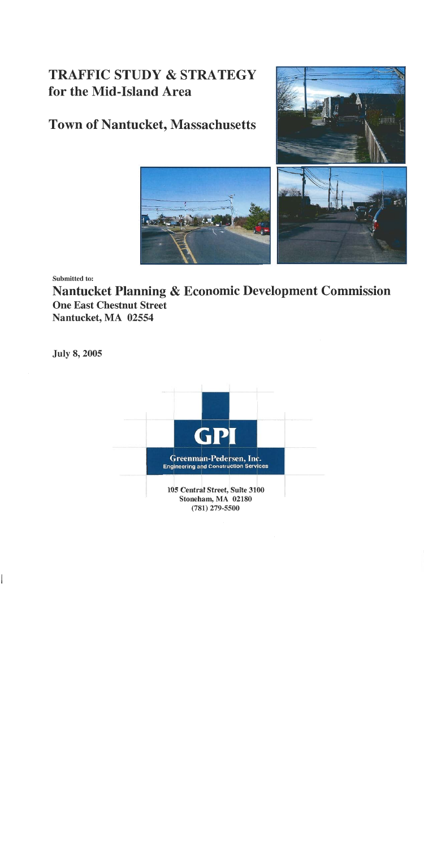# **TRAFFIC STUDY & STRATEGY** for the Mid-Island Area

# **Town of Nantucket, Massachusetts**





Submitted to:

Nantucket Planning & Economic Development Commission **One East Chestnut Street** Nantucket, MA 02554

**July 8, 2005** 

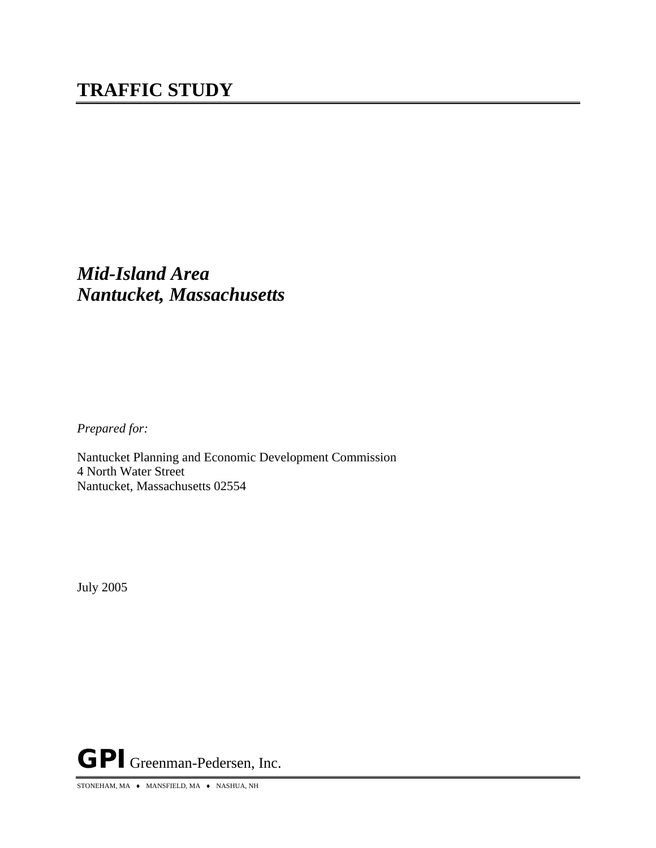*Prepared for:*

Nantucket Planning and Economic Development Commission 4 North Water Street Nantucket, Massachusetts 02554

July 2005

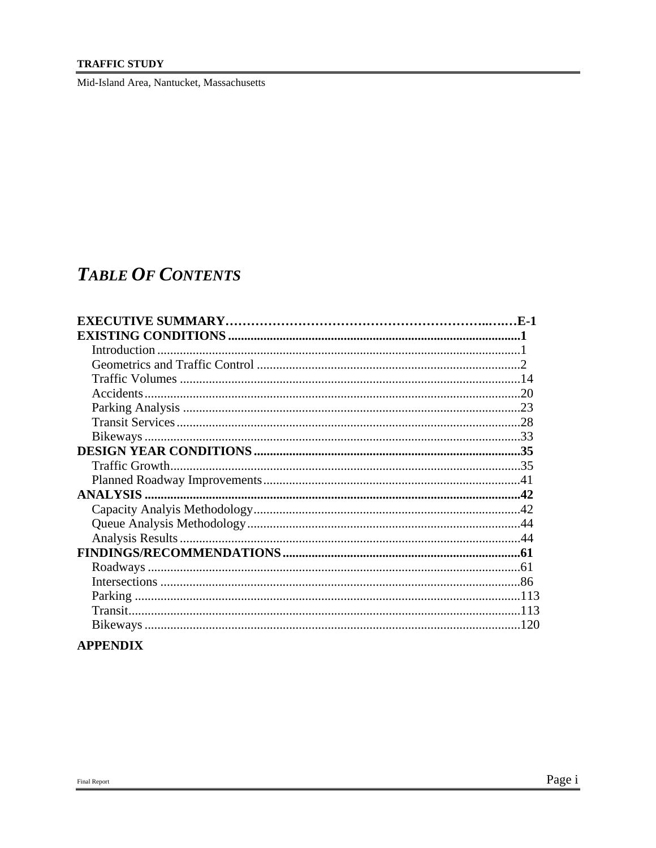#### **TRAFFIC STUDY**

Mid-Island Area, Nantucket, Massachusetts

# **TABLE OF CONTENTS**

| $\mathbf{F}$ -1 |
|-----------------|
|                 |
|                 |
|                 |
|                 |
|                 |
|                 |
|                 |
|                 |
|                 |
|                 |
|                 |
|                 |
|                 |
|                 |
|                 |
|                 |
| .61             |
|                 |
|                 |
|                 |
|                 |

# **APPENDIX**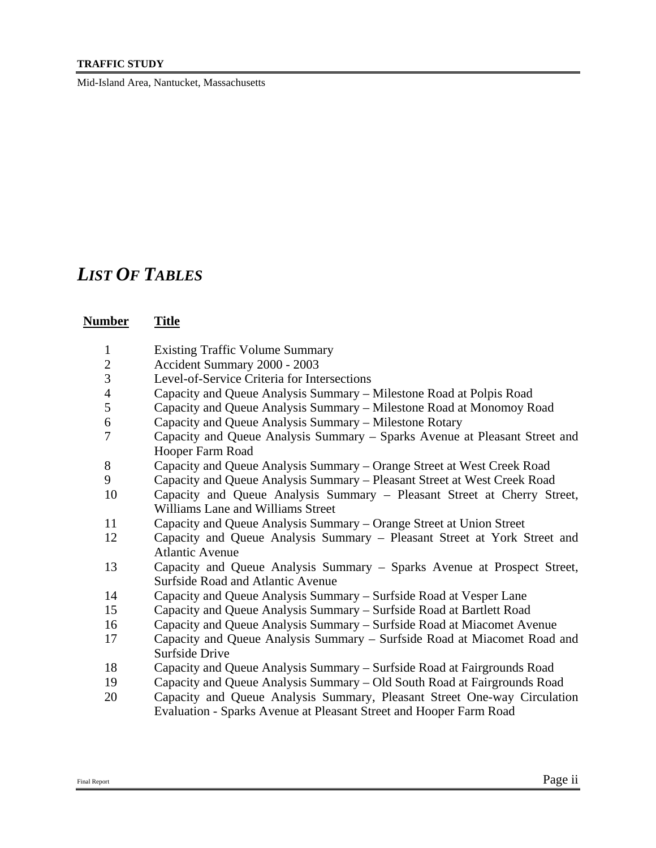#### **TRAFFIC STUDY**

Mid-Island Area, Nantucket, Massachusetts

# *LIST OF TABLES*

# **Number Title**

- Existing Traffic Volume Summary
- Accident Summary 2000 2003
- Level-of-Service Criteria for Intersections
- Capacity and Queue Analysis Summary Milestone Road at Polpis Road
- Capacity and Queue Analysis Summary Milestone Road at Monomoy Road
- Capacity and Queue Analysis Summary Milestone Rotary
- Capacity and Queue Analysis Summary Sparks Avenue at Pleasant Street and Hooper Farm Road
- Capacity and Queue Analysis Summary Orange Street at West Creek Road
- Capacity and Queue Analysis Summary Pleasant Street at West Creek Road
- Capacity and Queue Analysis Summary Pleasant Street at Cherry Street, Williams Lane and Williams Street
- Capacity and Queue Analysis Summary Orange Street at Union Street
- Capacity and Queue Analysis Summary Pleasant Street at York Street and Atlantic Avenue
- Capacity and Queue Analysis Summary Sparks Avenue at Prospect Street, Surfside Road and Atlantic Avenue
- Capacity and Queue Analysis Summary Surfside Road at Vesper Lane
- Capacity and Queue Analysis Summary Surfside Road at Bartlett Road
- Capacity and Queue Analysis Summary Surfside Road at Miacomet Avenue
- Capacity and Queue Analysis Summary Surfside Road at Miacomet Road and Surfside Drive
- Capacity and Queue Analysis Summary Surfside Road at Fairgrounds Road
- Capacity and Queue Analysis Summary Old South Road at Fairgrounds Road
- Capacity and Queue Analysis Summary, Pleasant Street One-way Circulation Evaluation - Sparks Avenue at Pleasant Street and Hooper Farm Road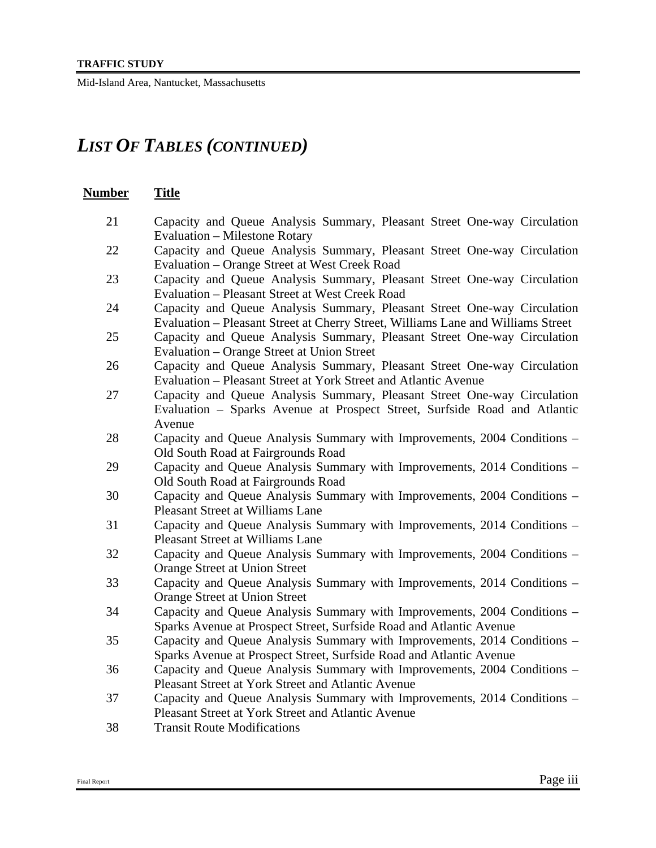# *LIST OF TABLES (CONTINUED)*

# **Number Title**

- 21 Capacity and Queue Analysis Summary, Pleasant Street One-way Circulation Evaluation – Milestone Rotary
- 22 Capacity and Queue Analysis Summary, Pleasant Street One-way Circulation Evaluation – Orange Street at West Creek Road
- 23 Capacity and Queue Analysis Summary, Pleasant Street One-way Circulation Evaluation – Pleasant Street at West Creek Road
- 24 Capacity and Queue Analysis Summary, Pleasant Street One-way Circulation Evaluation – Pleasant Street at Cherry Street, Williams Lane and Williams Street
- 25 Capacity and Queue Analysis Summary, Pleasant Street One-way Circulation Evaluation – Orange Street at Union Street
- 26 Capacity and Queue Analysis Summary, Pleasant Street One-way Circulation Evaluation – Pleasant Street at York Street and Atlantic Avenue
- 27 Capacity and Queue Analysis Summary, Pleasant Street One-way Circulation Evaluation – Sparks Avenue at Prospect Street, Surfside Road and Atlantic Avenue
- 28 Capacity and Queue Analysis Summary with Improvements, 2004 Conditions Old South Road at Fairgrounds Road
- 29 Capacity and Queue Analysis Summary with Improvements, 2014 Conditions Old South Road at Fairgrounds Road
- 30 Capacity and Queue Analysis Summary with Improvements, 2004 Conditions Pleasant Street at Williams Lane
- 31 Capacity and Queue Analysis Summary with Improvements, 2014 Conditions Pleasant Street at Williams Lane
- 32 Capacity and Queue Analysis Summary with Improvements, 2004 Conditions Orange Street at Union Street
- 33 Capacity and Queue Analysis Summary with Improvements, 2014 Conditions Orange Street at Union Street
- 34 Capacity and Queue Analysis Summary with Improvements, 2004 Conditions Sparks Avenue at Prospect Street, Surfside Road and Atlantic Avenue
- 35 Capacity and Queue Analysis Summary with Improvements, 2014 Conditions Sparks Avenue at Prospect Street, Surfside Road and Atlantic Avenue
- 36 Capacity and Queue Analysis Summary with Improvements, 2004 Conditions Pleasant Street at York Street and Atlantic Avenue
- 37 Capacity and Queue Analysis Summary with Improvements, 2014 Conditions Pleasant Street at York Street and Atlantic Avenue
- 38 Transit Route Modifications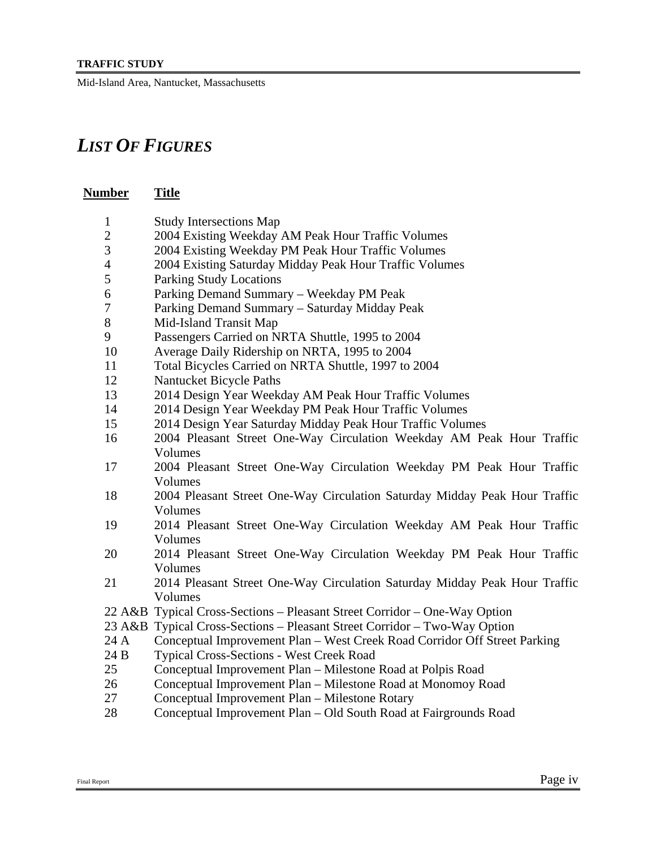# *LIST OF FIGURES*

# **Number Title** 1 Study Intersections Map 2 2004 Existing Weekday AM Peak Hour Traffic Volumes

- 3 2004 Existing Weekday PM Peak Hour Traffic Volumes
- 4 2004 Existing Saturday Midday Peak Hour Traffic Volumes
- 5 Parking Study Locations
- 6 Parking Demand Summary Weekday PM Peak
- 7 Parking Demand Summary Saturday Midday Peak
- 8 Mid-Island Transit Map
- 9 Passengers Carried on NRTA Shuttle, 1995 to 2004
- 10 Average Daily Ridership on NRTA, 1995 to 2004
- 11 Total Bicycles Carried on NRTA Shuttle, 1997 to 2004
- 12 Nantucket Bicycle Paths
- 13 2014 Design Year Weekday AM Peak Hour Traffic Volumes
- 14 2014 Design Year Weekday PM Peak Hour Traffic Volumes
- 15 2014 Design Year Saturday Midday Peak Hour Traffic Volumes
- 16 2004 Pleasant Street One-Way Circulation Weekday AM Peak Hour Traffic Volumes
- 17 2004 Pleasant Street One-Way Circulation Weekday PM Peak Hour Traffic Volumes
- 18 2004 Pleasant Street One-Way Circulation Saturday Midday Peak Hour Traffic Volumes
- 19 2014 Pleasant Street One-Way Circulation Weekday AM Peak Hour Traffic Volumes
- 20 2014 Pleasant Street One-Way Circulation Weekday PM Peak Hour Traffic Volumes
- 21 2014 Pleasant Street One-Way Circulation Saturday Midday Peak Hour Traffic Volumes
- 22 A&B Typical Cross-Sections Pleasant Street Corridor One-Way Option
- 23 A&B Typical Cross-Sections Pleasant Street Corridor Two-Way Option
- 24 A Conceptual Improvement Plan West Creek Road Corridor Off Street Parking
- 24 B Typical Cross-Sections West Creek Road
- 25 Conceptual Improvement Plan Milestone Road at Polpis Road
- 26 Conceptual Improvement Plan Milestone Road at Monomoy Road
- 27 Conceptual Improvement Plan Milestone Rotary
- 28 Conceptual Improvement Plan Old South Road at Fairgrounds Road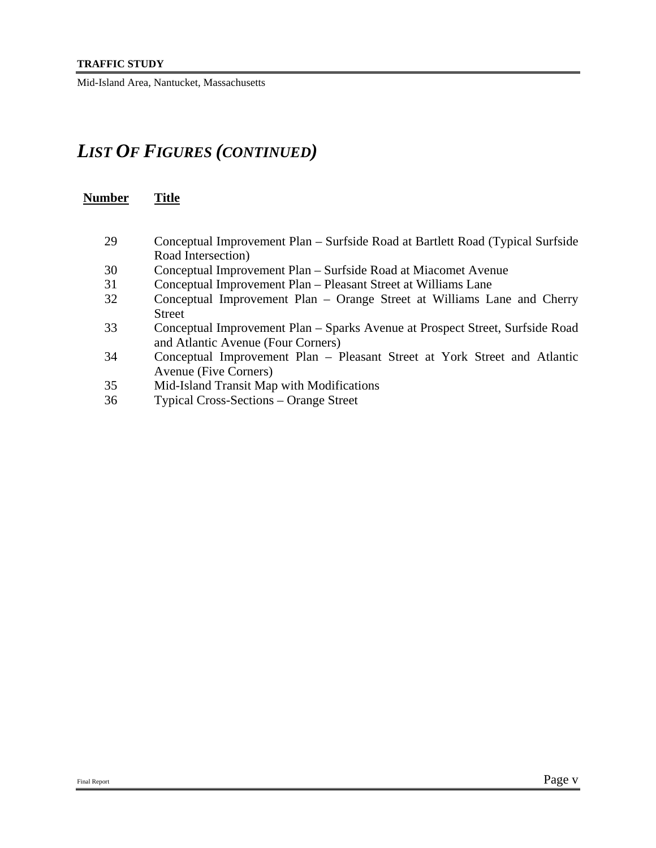# *LIST OF FIGURES (CONTINUED)*

| Number | <b>Title</b>                                                                                                        |
|--------|---------------------------------------------------------------------------------------------------------------------|
|        |                                                                                                                     |
| 29     | Conceptual Improvement Plan – Surfside Road at Bartlett Road (Typical Surfside<br>Road Intersection)                |
| 30     | Conceptual Improvement Plan – Surfside Road at Miacomet Avenue                                                      |
| 31     | Conceptual Improvement Plan - Pleasant Street at Williams Lane                                                      |
| 32     | Conceptual Improvement Plan – Orange Street at Williams Lane and Cherry<br><b>Street</b>                            |
| 33     | Conceptual Improvement Plan - Sparks Avenue at Prospect Street, Surfside Road<br>and Atlantic Avenue (Four Corners) |
| 34     | Conceptual Improvement Plan – Pleasant Street at York Street and Atlantic<br>Avenue (Five Corners)                  |
| 35     | Mid-Island Transit Map with Modifications                                                                           |
| 36     | <b>Typical Cross-Sections – Orange Street</b>                                                                       |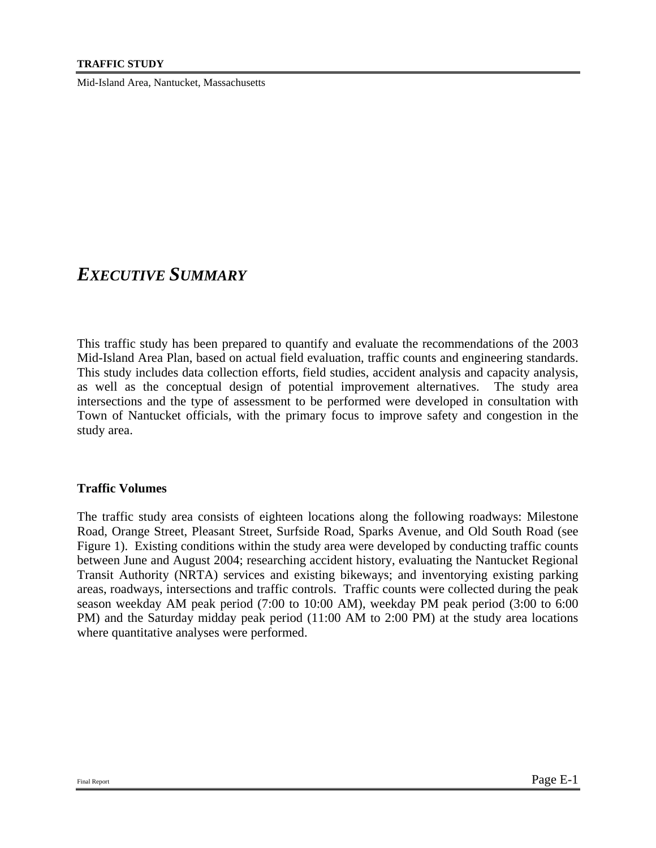# *EXECUTIVE SUMMARY*

This traffic study has been prepared to quantify and evaluate the recommendations of the 2003 Mid-Island Area Plan, based on actual field evaluation, traffic counts and engineering standards. This study includes data collection efforts, field studies, accident analysis and capacity analysis, as well as the conceptual design of potential improvement alternatives. The study area intersections and the type of assessment to be performed were developed in consultation with Town of Nantucket officials, with the primary focus to improve safety and congestion in the study area.

# **Traffic Volumes**

The traffic study area consists of eighteen locations along the following roadways: Milestone Road, Orange Street, Pleasant Street, Surfside Road, Sparks Avenue, and Old South Road (see Figure 1). Existing conditions within the study area were developed by conducting traffic counts between June and August 2004; researching accident history, evaluating the Nantucket Regional Transit Authority (NRTA) services and existing bikeways; and inventorying existing parking areas, roadways, intersections and traffic controls. Traffic counts were collected during the peak season weekday AM peak period (7:00 to 10:00 AM), weekday PM peak period (3:00 to 6:00 PM) and the Saturday midday peak period (11:00 AM to 2:00 PM) at the study area locations where quantitative analyses were performed.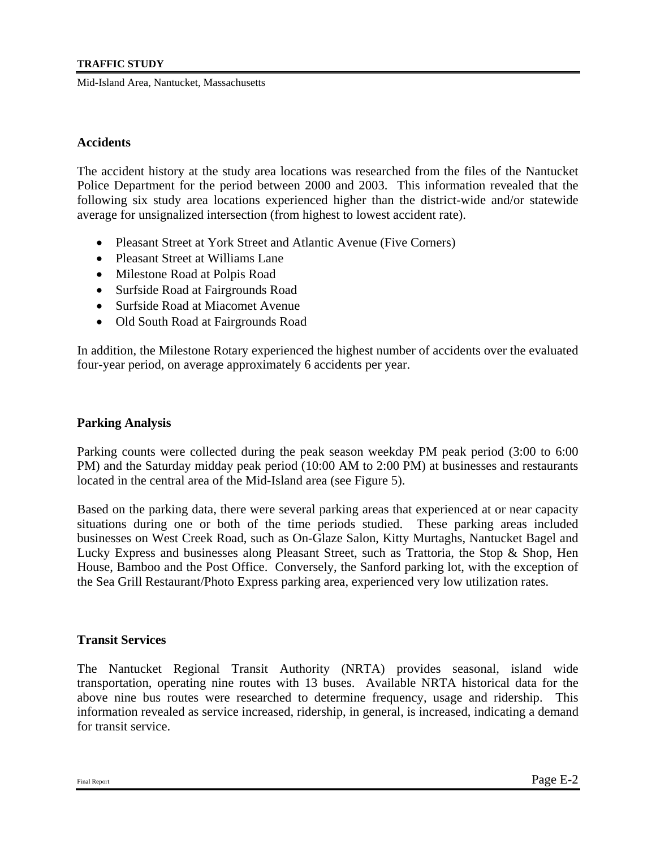#### **Accidents**

The accident history at the study area locations was researched from the files of the Nantucket Police Department for the period between 2000 and 2003. This information revealed that the following six study area locations experienced higher than the district-wide and/or statewide average for unsignalized intersection (from highest to lowest accident rate).

- Pleasant Street at York Street and Atlantic Avenue (Five Corners)
- Pleasant Street at Williams Lane
- Milestone Road at Polpis Road
- Surfside Road at Fairgrounds Road
- Surfside Road at Miacomet Avenue
- Old South Road at Fairgrounds Road

In addition, the Milestone Rotary experienced the highest number of accidents over the evaluated four-year period, on average approximately 6 accidents per year.

#### **Parking Analysis**

Parking counts were collected during the peak season weekday PM peak period (3:00 to 6:00 PM) and the Saturday midday peak period (10:00 AM to 2:00 PM) at businesses and restaurants located in the central area of the Mid-Island area (see Figure 5).

Based on the parking data, there were several parking areas that experienced at or near capacity situations during one or both of the time periods studied. These parking areas included businesses on West Creek Road, such as On-Glaze Salon, Kitty Murtaghs, Nantucket Bagel and Lucky Express and businesses along Pleasant Street, such as Trattoria, the Stop & Shop, Hen House, Bamboo and the Post Office. Conversely, the Sanford parking lot, with the exception of the Sea Grill Restaurant/Photo Express parking area, experienced very low utilization rates.

#### **Transit Services**

The Nantucket Regional Transit Authority (NRTA) provides seasonal, island wide transportation, operating nine routes with 13 buses. Available NRTA historical data for the above nine bus routes were researched to determine frequency, usage and ridership. This information revealed as service increased, ridership, in general, is increased, indicating a demand for transit service.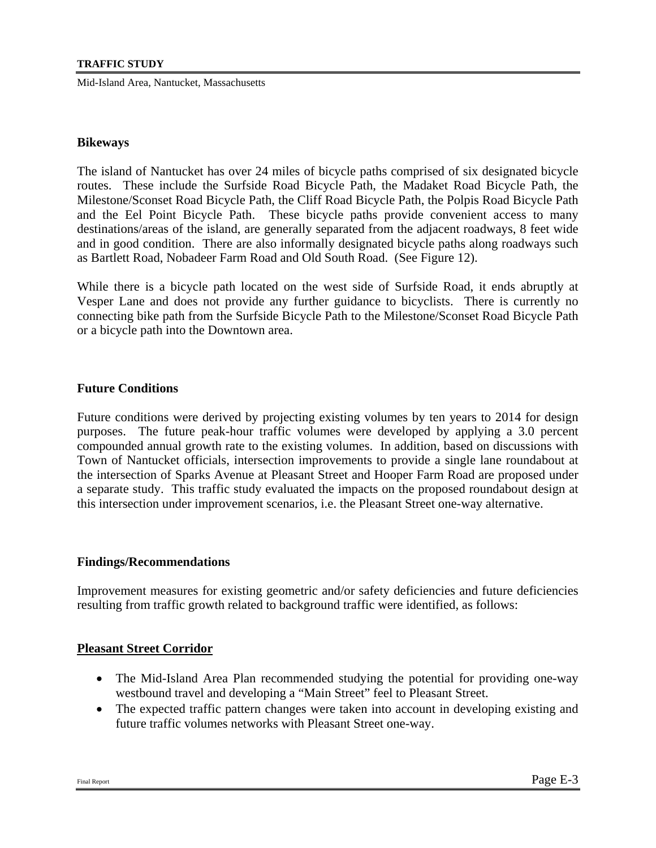#### **Bikeways**

The island of Nantucket has over 24 miles of bicycle paths comprised of six designated bicycle routes. These include the Surfside Road Bicycle Path, the Madaket Road Bicycle Path, the Milestone/Sconset Road Bicycle Path, the Cliff Road Bicycle Path, the Polpis Road Bicycle Path and the Eel Point Bicycle Path. These bicycle paths provide convenient access to many destinations/areas of the island, are generally separated from the adjacent roadways, 8 feet wide and in good condition. There are also informally designated bicycle paths along roadways such as Bartlett Road, Nobadeer Farm Road and Old South Road. (See Figure 12).

While there is a bicycle path located on the west side of Surfside Road, it ends abruptly at Vesper Lane and does not provide any further guidance to bicyclists. There is currently no connecting bike path from the Surfside Bicycle Path to the Milestone/Sconset Road Bicycle Path or a bicycle path into the Downtown area.

# **Future Conditions**

Future conditions were derived by projecting existing volumes by ten years to 2014 for design purposes. The future peak-hour traffic volumes were developed by applying a 3.0 percent compounded annual growth rate to the existing volumes. In addition, based on discussions with Town of Nantucket officials, intersection improvements to provide a single lane roundabout at the intersection of Sparks Avenue at Pleasant Street and Hooper Farm Road are proposed under a separate study. This traffic study evaluated the impacts on the proposed roundabout design at this intersection under improvement scenarios, i.e. the Pleasant Street one-way alternative.

# **Findings/Recommendations**

Improvement measures for existing geometric and/or safety deficiencies and future deficiencies resulting from traffic growth related to background traffic were identified, as follows:

# **Pleasant Street Corridor**

- The Mid-Island Area Plan recommended studying the potential for providing one-way westbound travel and developing a "Main Street" feel to Pleasant Street.
- The expected traffic pattern changes were taken into account in developing existing and future traffic volumes networks with Pleasant Street one-way.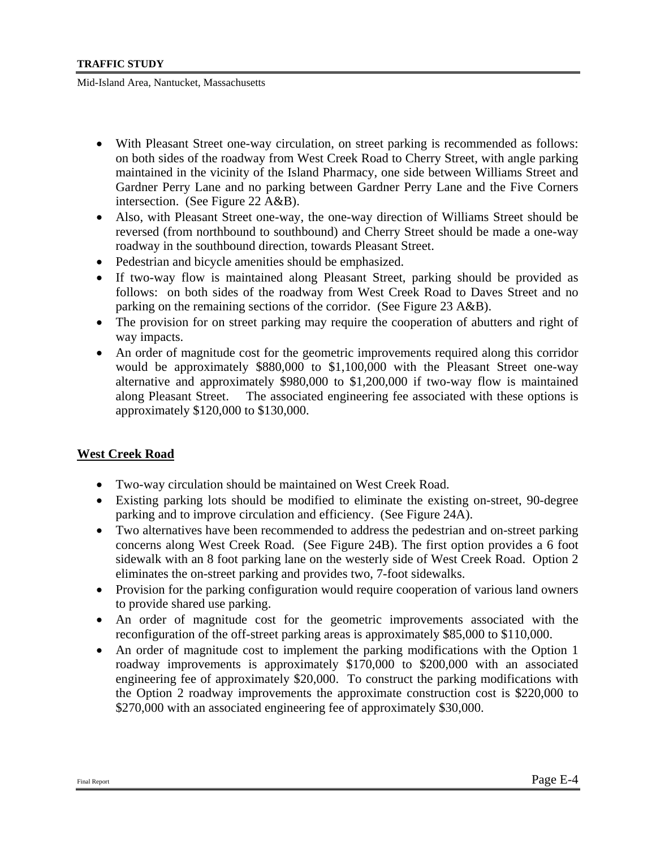- With Pleasant Street one-way circulation, on street parking is recommended as follows: on both sides of the roadway from West Creek Road to Cherry Street, with angle parking maintained in the vicinity of the Island Pharmacy, one side between Williams Street and Gardner Perry Lane and no parking between Gardner Perry Lane and the Five Corners intersection. (See Figure 22 A&B).
- Also, with Pleasant Street one-way, the one-way direction of Williams Street should be reversed (from northbound to southbound) and Cherry Street should be made a one-way roadway in the southbound direction, towards Pleasant Street.
- Pedestrian and bicycle amenities should be emphasized.
- If two-way flow is maintained along Pleasant Street, parking should be provided as follows: on both sides of the roadway from West Creek Road to Daves Street and no parking on the remaining sections of the corridor. (See Figure 23 A&B).
- The provision for on street parking may require the cooperation of abutters and right of way impacts.
- An order of magnitude cost for the geometric improvements required along this corridor would be approximately \$880,000 to \$1,100,000 with the Pleasant Street one-way alternative and approximately \$980,000 to \$1,200,000 if two-way flow is maintained along Pleasant Street. The associated engineering fee associated with these options is approximately \$120,000 to \$130,000.

# **West Creek Road**

- Two-way circulation should be maintained on West Creek Road.
- Existing parking lots should be modified to eliminate the existing on-street, 90-degree parking and to improve circulation and efficiency. (See Figure 24A).
- Two alternatives have been recommended to address the pedestrian and on-street parking concerns along West Creek Road. (See Figure 24B). The first option provides a 6 foot sidewalk with an 8 foot parking lane on the westerly side of West Creek Road. Option 2 eliminates the on-street parking and provides two, 7-foot sidewalks.
- Provision for the parking configuration would require cooperation of various land owners to provide shared use parking.
- An order of magnitude cost for the geometric improvements associated with the reconfiguration of the off-street parking areas is approximately \$85,000 to \$110,000.
- An order of magnitude cost to implement the parking modifications with the Option 1 roadway improvements is approximately \$170,000 to \$200,000 with an associated engineering fee of approximately \$20,000. To construct the parking modifications with the Option 2 roadway improvements the approximate construction cost is \$220,000 to \$270,000 with an associated engineering fee of approximately \$30,000.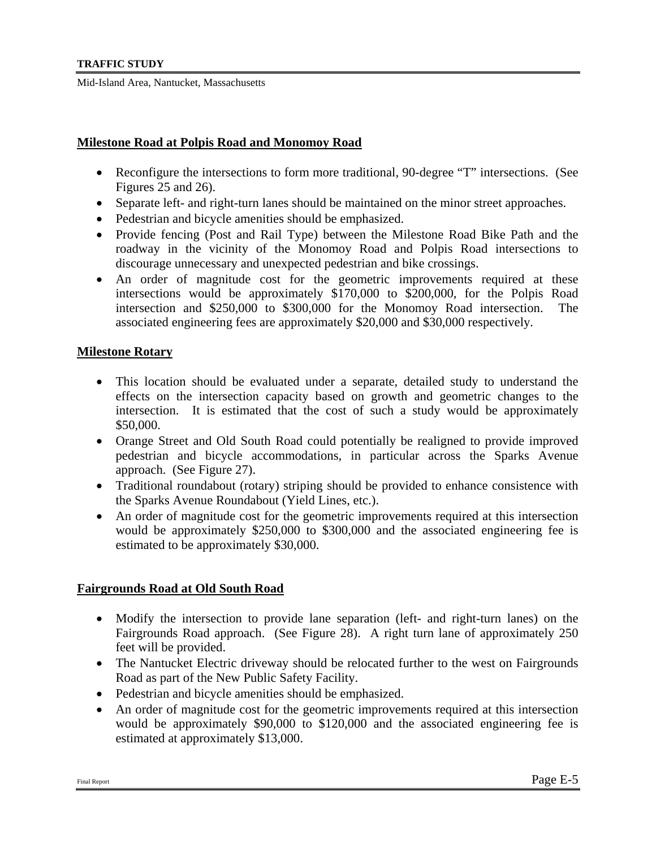#### **Milestone Road at Polpis Road and Monomoy Road**

- Reconfigure the intersections to form more traditional, 90-degree "T" intersections. (See Figures 25 and 26).
- Separate left- and right-turn lanes should be maintained on the minor street approaches.
- Pedestrian and bicycle amenities should be emphasized.
- Provide fencing (Post and Rail Type) between the Milestone Road Bike Path and the roadway in the vicinity of the Monomoy Road and Polpis Road intersections to discourage unnecessary and unexpected pedestrian and bike crossings.
- An order of magnitude cost for the geometric improvements required at these intersections would be approximately \$170,000 to \$200,000, for the Polpis Road intersection and \$250,000 to \$300,000 for the Monomoy Road intersection. The associated engineering fees are approximately \$20,000 and \$30,000 respectively.

#### **Milestone Rotary**

- This location should be evaluated under a separate, detailed study to understand the effects on the intersection capacity based on growth and geometric changes to the intersection. It is estimated that the cost of such a study would be approximately \$50,000.
- Orange Street and Old South Road could potentially be realigned to provide improved pedestrian and bicycle accommodations, in particular across the Sparks Avenue approach. (See Figure 27).
- Traditional roundabout (rotary) striping should be provided to enhance consistence with the Sparks Avenue Roundabout (Yield Lines, etc.).
- An order of magnitude cost for the geometric improvements required at this intersection would be approximately \$250,000 to \$300,000 and the associated engineering fee is estimated to be approximately \$30,000.

# **Fairgrounds Road at Old South Road**

- Modify the intersection to provide lane separation (left- and right-turn lanes) on the Fairgrounds Road approach. (See Figure 28). A right turn lane of approximately 250 feet will be provided.
- The Nantucket Electric driveway should be relocated further to the west on Fairgrounds Road as part of the New Public Safety Facility.
- Pedestrian and bicycle amenities should be emphasized.
- An order of magnitude cost for the geometric improvements required at this intersection would be approximately \$90,000 to \$120,000 and the associated engineering fee is estimated at approximately \$13,000.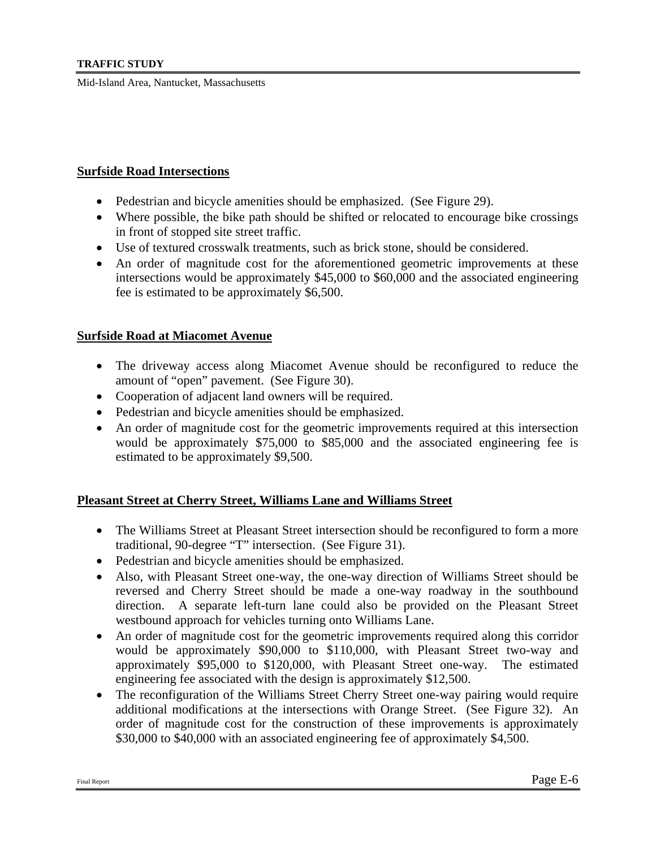#### **Surfside Road Intersections**

- Pedestrian and bicycle amenities should be emphasized. (See Figure 29).
- Where possible, the bike path should be shifted or relocated to encourage bike crossings in front of stopped site street traffic.
- Use of textured crosswalk treatments, such as brick stone, should be considered.
- An order of magnitude cost for the aforementioned geometric improvements at these intersections would be approximately \$45,000 to \$60,000 and the associated engineering fee is estimated to be approximately \$6,500.

# **Surfside Road at Miacomet Avenue**

- The driveway access along Miacomet Avenue should be reconfigured to reduce the amount of "open" pavement. (See Figure 30).
- Cooperation of adjacent land owners will be required.
- Pedestrian and bicycle amenities should be emphasized.
- An order of magnitude cost for the geometric improvements required at this intersection would be approximately \$75,000 to \$85,000 and the associated engineering fee is estimated to be approximately \$9,500.

# **Pleasant Street at Cherry Street, Williams Lane and Williams Street**

- The Williams Street at Pleasant Street intersection should be reconfigured to form a more traditional, 90-degree "T" intersection. (See Figure 31).
- Pedestrian and bicycle amenities should be emphasized.
- Also, with Pleasant Street one-way, the one-way direction of Williams Street should be reversed and Cherry Street should be made a one-way roadway in the southbound direction. A separate left-turn lane could also be provided on the Pleasant Street westbound approach for vehicles turning onto Williams Lane.
- An order of magnitude cost for the geometric improvements required along this corridor would be approximately \$90,000 to \$110,000, with Pleasant Street two-way and approximately \$95,000 to \$120,000, with Pleasant Street one-way. The estimated engineering fee associated with the design is approximately \$12,500.
- The reconfiguration of the Williams Street Cherry Street one-way pairing would require additional modifications at the intersections with Orange Street. (See Figure 32). An order of magnitude cost for the construction of these improvements is approximately \$30,000 to \$40,000 with an associated engineering fee of approximately \$4,500.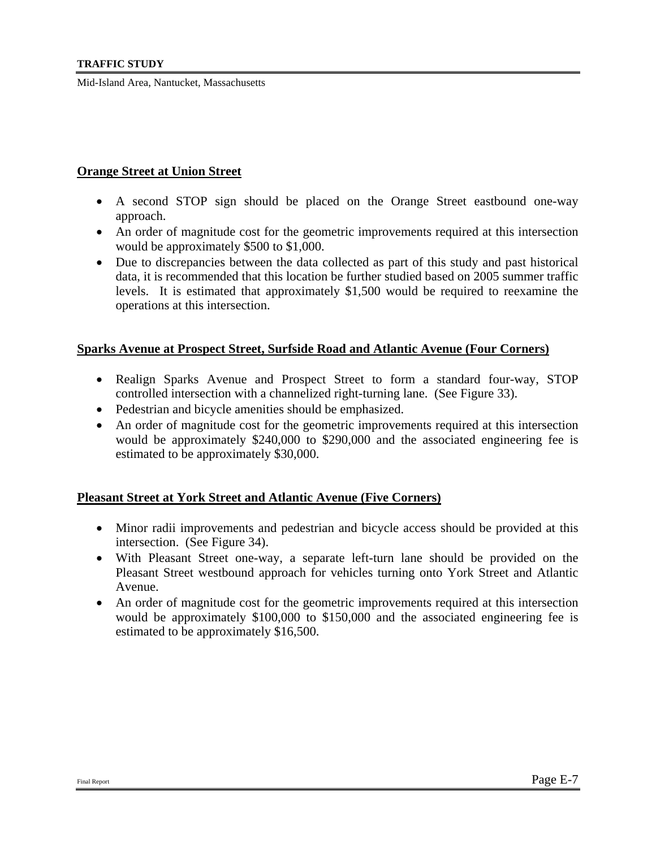# **Orange Street at Union Street**

- A second STOP sign should be placed on the Orange Street eastbound one-way approach.
- An order of magnitude cost for the geometric improvements required at this intersection would be approximately \$500 to \$1,000.
- Due to discrepancies between the data collected as part of this study and past historical data, it is recommended that this location be further studied based on 2005 summer traffic levels. It is estimated that approximately \$1,500 would be required to reexamine the operations at this intersection.

#### **Sparks Avenue at Prospect Street, Surfside Road and Atlantic Avenue (Four Corners)**

- Realign Sparks Avenue and Prospect Street to form a standard four-way, STOP controlled intersection with a channelized right-turning lane. (See Figure 33).
- Pedestrian and bicycle amenities should be emphasized.
- An order of magnitude cost for the geometric improvements required at this intersection would be approximately \$240,000 to \$290,000 and the associated engineering fee is estimated to be approximately \$30,000.

# **Pleasant Street at York Street and Atlantic Avenue (Five Corners)**

- Minor radii improvements and pedestrian and bicycle access should be provided at this intersection. (See Figure 34).
- With Pleasant Street one-way, a separate left-turn lane should be provided on the Pleasant Street westbound approach for vehicles turning onto York Street and Atlantic Avenue.
- An order of magnitude cost for the geometric improvements required at this intersection would be approximately \$100,000 to \$150,000 and the associated engineering fee is estimated to be approximately \$16,500.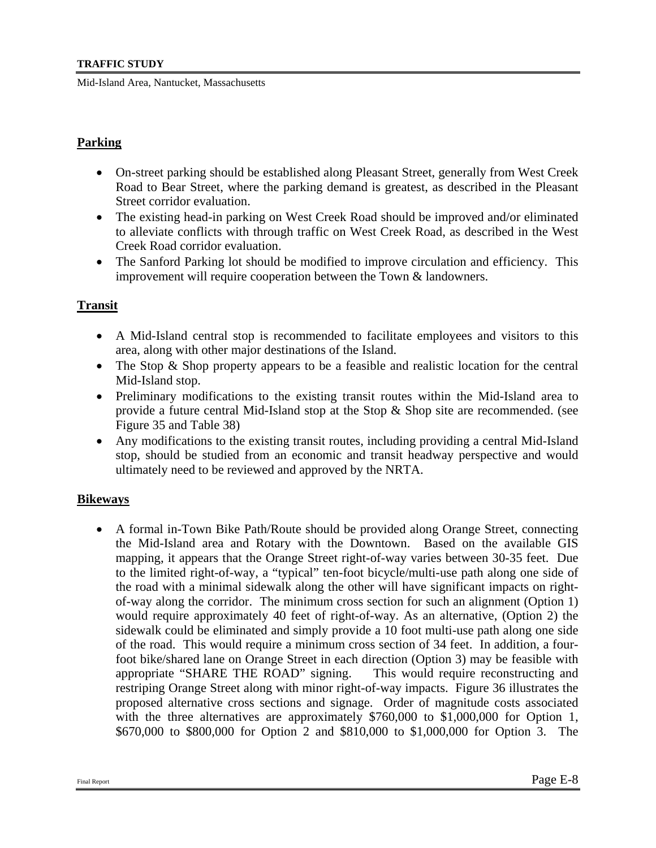# **Parking**

- On-street parking should be established along Pleasant Street, generally from West Creek Road to Bear Street, where the parking demand is greatest, as described in the Pleasant Street corridor evaluation.
- The existing head-in parking on West Creek Road should be improved and/or eliminated to alleviate conflicts with through traffic on West Creek Road, as described in the West Creek Road corridor evaluation.
- The Sanford Parking lot should be modified to improve circulation and efficiency. This improvement will require cooperation between the Town & landowners.

# **Transit**

- A Mid-Island central stop is recommended to facilitate employees and visitors to this area, along with other major destinations of the Island.
- The Stop & Shop property appears to be a feasible and realistic location for the central Mid-Island stop.
- Preliminary modifications to the existing transit routes within the Mid-Island area to provide a future central Mid-Island stop at the Stop & Shop site are recommended. (see Figure 35 and Table 38)
- Any modifications to the existing transit routes, including providing a central Mid-Island stop, should be studied from an economic and transit headway perspective and would ultimately need to be reviewed and approved by the NRTA.

# **Bikeways**

• A formal in-Town Bike Path/Route should be provided along Orange Street, connecting the Mid-Island area and Rotary with the Downtown. Based on the available GIS mapping, it appears that the Orange Street right-of-way varies between 30-35 feet. Due to the limited right-of-way, a "typical" ten-foot bicycle/multi-use path along one side of the road with a minimal sidewalk along the other will have significant impacts on rightof-way along the corridor. The minimum cross section for such an alignment (Option 1) would require approximately 40 feet of right-of-way. As an alternative, (Option 2) the sidewalk could be eliminated and simply provide a 10 foot multi-use path along one side of the road. This would require a minimum cross section of 34 feet. In addition, a fourfoot bike/shared lane on Orange Street in each direction (Option 3) may be feasible with appropriate "SHARE THE ROAD" signing. This would require reconstructing and restriping Orange Street along with minor right-of-way impacts. Figure 36 illustrates the proposed alternative cross sections and signage. Order of magnitude costs associated with the three alternatives are approximately \$760,000 to \$1,000,000 for Option 1, \$670,000 to \$800,000 for Option 2 and \$810,000 to \$1,000,000 for Option 3. The